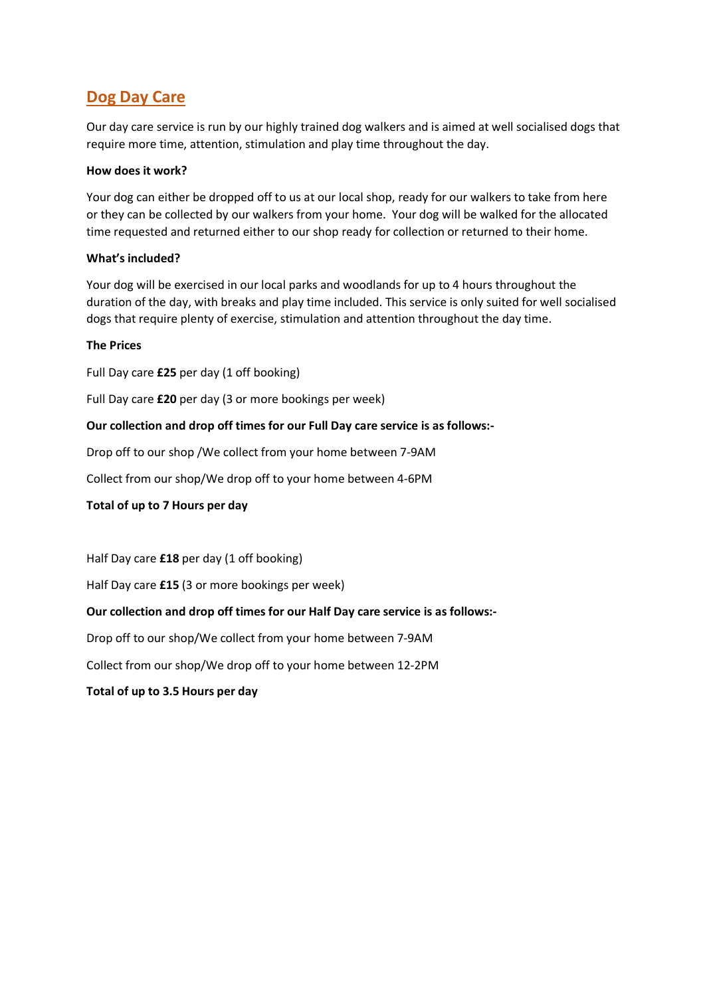## **Dog Day Care**

Our day care service is run by our highly trained dog walkers and is aimed at well socialised dogs that require more time, attention, stimulation and play time throughout the day.

#### **How does it work?**

Your dog can either be dropped off to us at our local shop, ready for our walkers to take from here or they can be collected by our walkers from your home. Your dog will be walked for the allocated time requested and returned either to our shop ready for collection or returned to their home.

#### **What's included?**

Your dog will be exercised in our local parks and woodlands for up to 4 hours throughout the duration of the day, with breaks and play time included. This service is only suited for well socialised dogs that require plenty of exercise, stimulation and attention throughout the day time.

#### **The Prices**

Full Day care **£25** per day (1 off booking)

Full Day care **£20** per day (3 or more bookings per week)

#### **Our collection and drop off times for our Full Day care service is as follows:-**

Drop off to our shop /We collect from your home between 7-9AM

Collect from our shop/We drop off to your home between 4-6PM

#### **Total of up to 7 Hours per day**

Half Day care **£18** per day (1 off booking)

Half Day care **£15** (3 or more bookings per week)

#### **Our collection and drop off times for our Half Day care service is as follows:-**

Drop off to our shop/We collect from your home between 7-9AM

Collect from our shop/We drop off to your home between 12-2PM

**Total of up to 3.5 Hours per day**